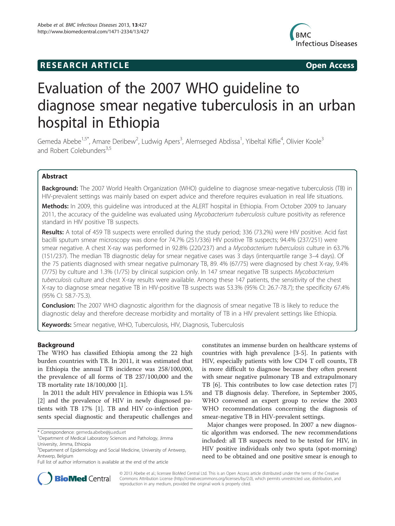# **RESEARCH ARTICLE Example 2014 CONSIDERING CONSIDERING CONSIDERING CONSIDERING CONSIDERING CONSIDERING CONSIDERING CONSIDERING CONSIDERING CONSIDERING CONSIDERING CONSIDERING CONSIDERING CONSIDERING CONSIDERING CONSIDE**



# Evaluation of the 2007 WHO guideline to diagnose smear negative tuberculosis in an urban hospital in Ethiopia

Gemeda Abebe<sup>1,5\*</sup>, Amare Deribew<sup>2</sup>, Ludwig Apers<sup>3</sup>, Alemseged Abdissa<sup>1</sup>, Yibeltal Kiflie<sup>4</sup>, Olivier Koole<sup>3</sup> and Robert Colebunders<sup>3,5</sup>

# Abstract

Background: The 2007 World Health Organization (WHO) guideline to diagnose smear-negative tuberculosis (TB) in HIV-prevalent settings was mainly based on expert advice and therefore requires evaluation in real life situations.

Methods: In 2009, this quideline was introduced at the ALERT hospital in Ethiopia. From October 2009 to January 2011, the accuracy of the guideline was evaluated using Mycobacterium tuberculosis culture positivity as reference standard in HIV positive TB suspects.

Results: A total of 459 TB suspects were enrolled during the study period; 336 (73.2%) were HIV positive. Acid fast bacilli sputum smear microscopy was done for 74.7% (251/336) HIV positive TB suspects; 94.4% (237/251) were smear negative. A chest X-ray was performed in 92.8% (220/237) and a Mycobacterium tuberculosis culture in 63.7% (151/237). The median TB diagnostic delay for smear negative cases was 3 days (interquartile range 3–4 days). Of the 75 patients diagnosed with smear negative pulmonary TB, 89. 4% (67/75) were diagnosed by chest X-ray, 9.4% (7/75) by culture and 1.3% (1/75) by clinical suspicion only. In 147 smear negative TB suspects Mycobacterium tuberculosis culture and chest X-ray results were available. Among these 147 patients, the sensitivity of the chest X-ray to diagnose smear negative TB in HIV-positive TB suspects was 53.3% (95% CI: 26.7-78.7); the specificity 67.4% (95% CI: 58.7-75.3).

**Conclusion:** The 2007 WHO diagnostic algorithm for the diagnosis of smear negative TB is likely to reduce the diagnostic delay and therefore decrease morbidity and mortality of TB in a HIV prevalent settings like Ethiopia.

Keywords: Smear negative, WHO, Tuberculosis, HIV, Diagnosis, Tuberculosis

# Background

The WHO has classified Ethiopia among the 22 high burden countries with TB. In 2011, it was estimated that in Ethiopia the annual TB incidence was 258/100,000, the prevalence of all forms of TB 237/100,000 and the TB mortality rate 18/100,000 [[1\]](#page-4-0).

In 2011 the adult HIV prevalence in Ethiopia was 1.5% [[2\]](#page-4-0) and the prevalence of HIV in newly diagnosed patients with TB 17% [\[1\]](#page-4-0). TB and HIV co-infection presents special diagnostic and therapeutic challenges and constitutes an immense burden on healthcare systems of countries with high prevalence [[3-5\]](#page-4-0). In patients with HIV, especially patients with low CD4 T cell counts, TB is more difficult to diagnose because they often present with smear negative pulmonary TB and extrapulmonary TB [\[6](#page-4-0)]. This contributes to low case detection rates [\[7](#page-4-0)] and TB diagnosis delay. Therefore, in September 2005, WHO convened an expert group to review the 2003 WHO recommendations concerning the diagnosis of smear-negative TB in HIV-prevalent settings.

Major changes were proposed. In 2007 a new diagnostic algorithm was endorsed. The new recommendations included: all TB suspects need to be tested for HIV, in HIV positive individuals only two sputa (spot-morning) need to be obtained and one positive smear is enough to



© 2013 Abebe et al.; licensee BioMed Central Ltd. This is an Open Access article distributed under the terms of the Creative Commons Attribution License [\(http://creativecommons.org/licenses/by/2.0\)](http://creativecommons.org/licenses/by/2.0), which permits unrestricted use, distribution, and reproduction in any medium, provided the original work is properly cited.

<sup>\*</sup> Correspondence: [gemeda.abebe@ju.edu.et](mailto:gemeda.abebe@ju.edu.et) <sup>1</sup>

<sup>&</sup>lt;sup>1</sup> Department of Medical Laboratory Sciences and Pathology, Jimma University, Jimma, Ethiopia

<sup>5</sup> Department of Epidemiology and Social Medicine, University of Antwerp, Antwerp, Belgium

Full list of author information is available at the end of the article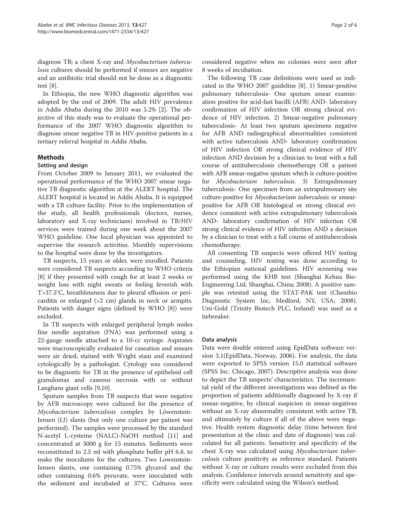diagnose TB; a chest X-ray and Mycobacterium tuberculosis cultures should be performed if smears are negative and an antibiotic trial should not be done as a diagnostic test [\[8](#page-5-0)].

In Ethiopia, the new WHO diagnostic algorithm was adopted by the end of 2009. The adult HIV prevalence in Addis Ababa during the 2010 was 5.2% [\[2](#page-4-0)]. The objective of this study was to evaluate the operational performance of the 2007 WHO diagnostic algorithm to diagnose smear negative TB in HIV-positive patients in a tertiary referral hospital in Addis Ababa.

# Methods

# Setting and design

From October 2009 to January 2011, we evaluated the operational performance of the WHO 2007 smear negative TB diagnostic algorithm at the ALERT hospital. The ALERT hospital is located in Addis Ababa. It is equipped with a TB culture facility. Prior to the implementation of the study, all health professionals (doctors, nurses, laboratory and X-ray technicians) involved in TB/HIV services were trained during one week about the 2007 WHO guideline. One local physician was appointed to supervise the research activities. Monthly supervisions to the hospital were done by the investigators.

TB suspects, 15 years or older, were enrolled. Patients were considered TB suspects according to WHO criteria [[8\]](#page-5-0) if they presented with cough for at least 2 weeks or weight loss with night sweats or feeling feverish with T>37.5°C, breathlessness due to pleural effusion or pericarditis or enlarged (>2 cm) glands in neck or armpits. Patients with danger signs (defined by WHO [[8\]](#page-5-0)) were excluded.

In TB suspects with enlarged peripheral lymph nodes fine needle aspiration (FNA) was performed using a 22-gauge needle attached to a 10-cc syringe. Aspirates were macroscopically evaluated for caseation and smears were air dried, stained with Wright stain and examined cytologically by a pathologist. Cytology was considered to be diagnostic for TB in the presence of epitheloid cell granulomas and caseous necrosis with or without Langhans giant cells [[9,10\]](#page-5-0).

Sputum samples from TB suspects that were negative by AFB microscopy were cultured for the presence of Mycobacterium tuberculosis complex by Löwenstein-Jensen (LJ) slants (but only one culture per patient was performed). The samples were processed by the standard N-acetyl L-cysteine (NALC)-NaOH method [\[11](#page-5-0)] and concentrated at 3000 g for 15 minutes. Sediments were reconstituted to 2.5 ml with phosphate buffer pH 6.8, to make the inoculums for the cultures. Two Lowenstein-Jensen slants, one containing 0.75% glycerol and the other containing 0.6% pyruvate, were inoculated with the sediment and incubated at 37°C. Cultures were

considered negative when no colonies were seen after 8 weeks of incubation.

The following TB case definitions were used as indicated in the WHO 2007 guideline [\[8\]](#page-5-0). 1) Smear-positive pulmonary tuberculosis- One sputum smear examination positive for acid-fast bacilli (AFB) AND- laboratory confirmation of HIV infection OR strong clinical evidence of HIV infection. 2) Smear-negative pulmonary tuberculosis- At least two sputum specimens negative for AFB AND radiographical abnormalities consistent with active tuberculosis AND- laboratory confirmation of HIV infection OR strong clinical evidence of HIV infection AND decision by a clinician to treat with a full course of antituberculosis chemotherapy OR a patient with AFB smear-negative sputum which is culture-positive for Mycobacterium tuberculosis. 3) Extrapulmonary tuberculosis- One specimen from an extrapulmonary site culture-positive for Mycobacterium tuberculosis or smearpositive for AFB OR histological or strong clinical evidence consistent with active extrapulmonary tuberculosis AND- laboratory confirmation of HIV infection OR strong clinical evidence of HIV infection AND a decision by a clinician to treat with a full course of antituberculosis chemotherapy.

All consenting TB suspects were offered HIV testing and counseling. HIV testing was done according to the Ethiopian national guidelines. HIV screening was performed using the KHB test (Shanghai Kehua Bio-Engineering Ltd, Shanghai, China; 2008). A positive sample was retested using the STAT-PAK test (Chembio Diagnostic System Inc, Medford, NY, USA; 2008). Uni-Gold (Trinity Biotech PLC, Ireland) was used as a tiebreaker.

# Data analysis

Data were double entered using EpidData software version 3.1(EpidData, Norway, 2006). For analysis, the data were exported to SPSS version 15.0 statistical software (SPSS Inc. Chicago, 2007). Descriptive analysis was done to depict the TB suspects' characteristics. The incremental yield of the different investigations was defined as the proportion of patients additionally diagnosed by X-ray if smear-negative, by clinical suspicion in smear-negatives without an X-ray abnormality consistent with active TB, and ultimately by culture if all of the above were negative. Health system diagnostic delay (time between first presentation at the clinic and date of diagnosis) was calculated for all patients. Sensitivity and specificity of the chest X-ray was calculated using Mycobacterium tuberculosis culture positivity as reference standard. Patients without X-ray or culture results were excluded from this analysis. Confidence intervals around sensitivity and specificity were calculated using the Wilson's method.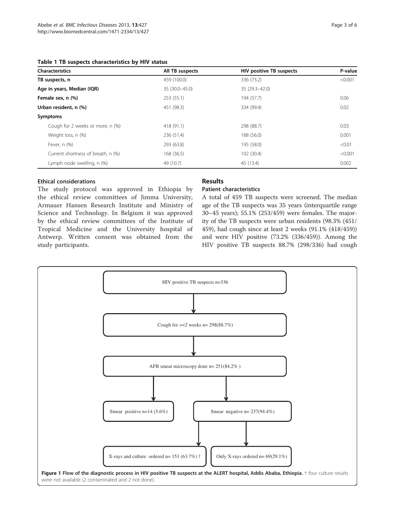### <span id="page-2-0"></span>Table 1 TB suspects characteristics by HIV status

| <b>Characteristics</b>             | All TB suspects | <b>HIV positive TB suspects</b> | P-value |
|------------------------------------|-----------------|---------------------------------|---------|
| TB suspects, n                     | 459 (100.0)     | 336 (73.2)                      | < 0.001 |
| Age in years, Median (IQR)         | 35 (30.0-45.0)  | 35 (29.3-42.0)                  |         |
| Female sex, n (%)                  | 253 (55.1)      | 194 (57.7)                      | 0.06    |
| Urban resident, n (%)              | 451 (98.3)      | 334 (99.4)                      | 0.02    |
| Symptoms                           |                 |                                 |         |
| Cough for 2 weeks or more, n (%)   | 418 (91.1)      | 298 (88.7)                      | 0.03    |
| Weight loss, n (%)                 | 236 (51.4)      | 188 (56.0)                      | 0.001   |
| Fever, $n$ $(\%)$                  | 293 (63.8)      | 195 (58.0)                      | < 0.01  |
| Current shortness of breath, n (%) | 168 (36.5)      | 102 (30.4)                      | < 0.001 |
| Lymph node swelling, n (%)         | 49 (10.7)       | 45 (13.4)                       | 0.002   |

# Ethical considerations

The study protocol was approved in Ethiopia by the ethical review committees of Jimma University, Armauer Hansen Research Institute and Ministry of Science and Technology. In Belgium it was approved by the ethical review committees of the Institute of Tropical Medicine and the University hospital of Antwerp. Written consent was obtained from the study participants.

# Results

# Patient characteristics

A total of 459 TB suspects were screened. The median age of the TB suspects was 35 years (interquartile range 30–45 years); 55.1% (253/459) were females. The majority of the TB suspects were urban residents (98.3% (451/ 459), had cough since at least 2 weeks (91.1% (418/459)) and were HIV positive (73.2% (336/459)). Among the HIV positive TB suspects 88.7% (298/336) had cough

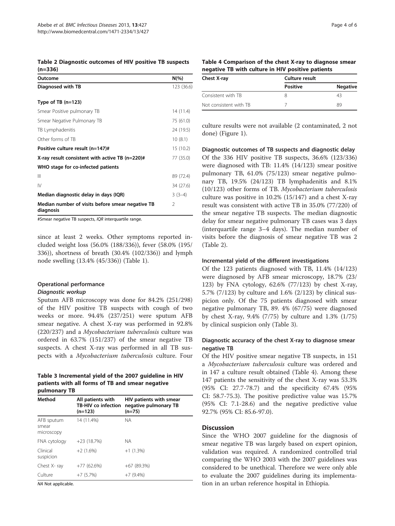Table 2 Diagnostic outcomes of HIV positive TB suspects (n=336)

| Outcome                                                       | $N(\%)$        |
|---------------------------------------------------------------|----------------|
| Diagnosed with TB                                             | 123 (36.6)     |
| Type of TB $(n=123)$                                          |                |
| Smear Positive pulmonary TB                                   | 14 (11.4)      |
| Smear Negative Pulmonary TB                                   | 75 (61.0)      |
| TB Lymphadenitis                                              | 24 (19.5)      |
| Other forms of TB                                             | 10(8.1)        |
| Positive culture result (n=147)#                              | 15 (10.2)      |
| X-ray result consistent with active TB (n=220)#               | 77 (35.0)      |
| WHO stage for co-infected patients                            |                |
| Ш                                                             | 89 (72.4)      |
| $\mathsf{IV}$                                                 | 34 (27.6)      |
| Median diagnostic delay in days (IQR)                         | $3(3-4)$       |
| Median number of visits before smear negative TB<br>diagnosis | $\mathfrak{D}$ |

#Smear negative TB suspects, IQR interquartile range.

since at least 2 weeks. Other symptoms reported included weight loss (56.0% (188/336)), fever (58.0% (195/ 336)), shortness of breath (30.4% (102/336)) and lymph node swelling (13.4% (45/336)) (Table [1](#page-2-0)).

# Operational performance

Diagnostic workup Sputum AFB microscopy was done for 84.2% (251/298) of the HIV positive TB suspects with cough of two weeks or more. 94.4% (237/251) were sputum AFB smear negative. A chest X-ray was performed in 92.8% (220/237) and a Mycobacterium tuberculosis culture was ordered in 63.7% (151/237) of the smear negative TB suspects. A chest X-ray was performed in all TB suspects with a Mycobacterium tuberculosis culture. Four

### Table 3 Incremental yield of the 2007 guideline in HIV patients with all forms of TB and smear negative pulmonary TB

| Method                            | All patients with<br>TB-HIV co infection<br>$(n=123)$ | HIV patients with smear<br>negative pulmonary TB<br>$(n=75)$ |
|-----------------------------------|-------------------------------------------------------|--------------------------------------------------------------|
| AFB sputum<br>smear<br>microscopy | 14 (11.4%)                                            | NА                                                           |
| FNA cytology                      | $+23(18.7%)$                                          | NА                                                           |
| Clinical<br>suspicion             | $+2(1.6\%)$                                           | $+1(1.3\%)$                                                  |
| Chest X-ray                       | $+77(62.6%)$                                          | $+67(89.3%)$                                                 |
| Culture                           | $+7(5.7%)$                                            | $+7(9.4\%)$                                                  |

NA Not applicable.

|                                                   |  | Table 4 Comparison of the chest X-ray to diagnose smear |
|---------------------------------------------------|--|---------------------------------------------------------|
| negative TB with culture in HIV positive patients |  |                                                         |

| Chest X-ray            | Culture result  |                 |
|------------------------|-----------------|-----------------|
|                        | <b>Positive</b> | <b>Negative</b> |
| Consistent with TB     | Χ               | 43              |
| Not consistent with TB |                 | 89              |

culture results were not available (2 contaminated, 2 not done) (Figure [1\)](#page-2-0).

Diagnostic outcomes of TB suspects and diagnostic delay Of the 336 HIV positive TB suspects, 36.6% (123/336) were diagnosed with TB: 11.4% (14/123) smear positive pulmonary TB, 61.0% (75/123) smear negative pulmonary TB, 19.5% (24/123) TB lymphadenitis and 8.1% (10/123) other forms of TB. Mycobacterium tuberculosis culture was positive in 10.2% (15/147) and a chest X-ray result was consistent with active TB in 35.0% (77/220) of the smear negative TB suspects. The median diagnostic delay for smear negative pulmonary TB cases was 3 days (interquartile range 3–4 days). The median number of visits before the diagnosis of smear negative TB was 2 (Table 2).

#### Incremental yield of the different investigations

Of the 123 patients diagnosed with TB, 11.4% (14/123) were diagnosed by AFB smear microscopy, 18.7% (23/ 123) by FNA cytology, 62.6% (77/123) by chest X-ray, 5.7% (7/123) by culture and 1.6% (2/123) by clinical suspicion only. Of the 75 patients diagnosed with smear negative pulmonary TB, 89. 4% (67/75) were diagnosed by chest X-ray, 9.4% (7/75) by culture and 1.3% (1/75) by clinical suspicion only (Table 3).

# Diagnostic accuracy of the chest X-ray to diagnose smear negative TB

Of the HIV positive smear negative TB suspects, in 151 a Mycobacterium tuberculosis culture was ordered and in 147 a culture result obtained (Table 4). Among these 147 patients the sensitivity of the chest X-ray was 53.3% (95% CI: 27.7-78.7) and the specificity 67.4% (95% CI: 58.7-75.3). The positive predictive value was 15.7% (95% CI: 7.1-28.6) and the negative predictive value 92.7% (95% CI: 85.6-97.0).

#### **Discussion**

Since the WHO 2007 guideline for the diagnosis of smear negative TB was largely based on expert opinion, validation was required. A randomized controlled trial comparing the WHO 2003 with the 2007 guidelines was considered to be unethical. Therefore we were only able to evaluate the 2007 guidelines during its implementation in an urban reference hospital in Ethiopia.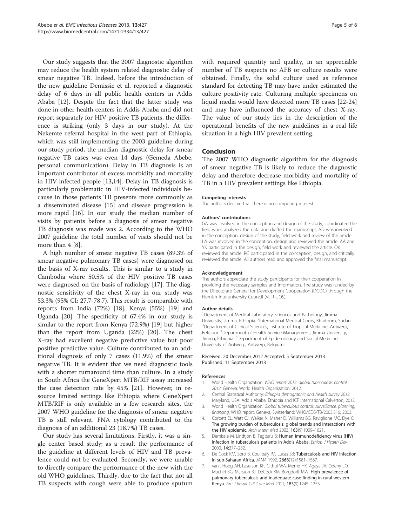<span id="page-4-0"></span>Our study suggests that the 2007 diagnostic algorithm may reduce the health system related diagnostic delay of smear negative TB. Indeed, before the introduction of the new guideline Demissie et al. reported a diagnostic delay of 6 days in all public health centers in Addis Ababa [[12\]](#page-5-0). Despite the fact that the latter study was done in other health centers in Addis Ababa and did not report separately for HIV positive TB patients, the difference is striking (only 3 days in our study). At the Nekemte referral hospital in the west part of Ethiopia, which was still implementing the 2003 guideline during our study period, the median diagnostic delay for smear negative TB cases was even 14 days (Gemeda Abebe, personal communication). Delay in TB diagnosis is an important contributor of excess morbidity and mortality in HIV-infected people [[13](#page-5-0),[14](#page-5-0)]. Delay in TB diagnosis is particularly problematic in HIV-infected individuals because in those patients TB presents more commonly as a disseminated disease [[15](#page-5-0)] and disease progression is more rapid [\[16](#page-5-0)]. In our study the median number of visits by patients before a diagnosis of smear negative TB diagnosis was made was 2. According to the WHO 2007 guideline the total number of visits should not be more than 4 [\[8](#page-5-0)].

A high number of smear negative TB cases (89.3% of smear negative pulmonary TB cases) were diagnosed on the basis of X-ray results. This is similar to a study in Cambodia where 50.5% of the HIV positive TB cases were diagnosed on the basis of radiology [\[17\]](#page-5-0). The diagnostic sensitivity of the chest X-ray in our study was 53.3% (95% CI: 27.7-78.7). This result is comparable with reports from India (72%) [\[18](#page-5-0)], Kenya (55%) [\[19\]](#page-5-0) and Uganda [\[20\]](#page-5-0). The specificity of 67.4% in our study is similar to the report from Kenya (72.9%) [[19](#page-5-0)] but higher than the report from Uganda (22%) [\[20\]](#page-5-0). The chest X-ray had excellent negative predictive value but poor positive predictive value. Culture contributed to an additional diagnosis of only 7 cases (11.9%) of the smear negative TB. It is evident that we need diagnostic tools with a shorter turnaround time than culture. In a study in South Africa the GeneXpert MTB/RIF assay increased the case detection rate by 45% [[21\]](#page-5-0). However, in resource limited settings like Ethiopia where GeneXpert MTB/RIF is only available in a few research sites, the 2007 WHO guideline for the diagnosis of smear negative TB is still relevant. FNA cytology contributed to the diagnosis of an additional 23 (18.7%) TB cases.

Our study has several limitations. Firstly, it was a single center based study; as a result the performance of the guideline at different levels of HIV and TB prevalence could not be evaluated. Secondly, we were unable to directly compare the performance of the new with the old WHO guidelines. Thirdly, due to the fact that not all TB suspects with cough were able to produce sputum with required quantity and quality, in an appreciable number of TB suspects no AFB or culture results were obtained. Finally, the solid culture used as reference standard for detecting TB may have under estimated the culture positivity rate. Culturing multiple specimens on liquid media would have detected more TB cases [\[22](#page-5-0)-[24](#page-5-0)] and may have influenced the accuracy of chest X-ray. The value of our study lies in the description of the operational benefits of the new guidelines in a real life situation in a high HIV prevalent setting.

### Conclusion

The 2007 WHO diagnostic algorithm for the diagnosis of smear negative TB is likely to reduce the diagnostic delay and therefore decrease morbidity and mortality of TB in a HIV prevalent settings like Ethiopia.

#### Competing interests

The authors declare that there is no competing interest.

#### Authors' contributions

GA was involved in the conception and design of the study, coordinated the field work, analyzed the data and drafted the manuscript. AD was involved in the conception, design of the study, field work and review of the article. LA was involved in the conception, design and reviewed the article. AA and YK participated in the design, field work and reviewed the article. OK reviewed the article. RC participated in the conception, design, and critically reviewed the article. All authors read and approved the final manuscript.

#### Acknowledgement

The authors appreciate the study participants for their cooperation in providing the necessary samples and information. The study was funded by the Directorate General for Development Cooperation (DGDC) through the Flemish Interuniversity Council (VLIR-UOS).

#### Author details

<sup>1</sup>Department of Medical Laboratory Sciences and Pathology, Jimma University, Jimma, Ethiopia. <sup>2</sup>International Medical Corps, Khartoum, Sudan.<br><sup>3</sup>Department of Clinical Sciences, Institute of Tropical Medicine, Antwerp. <sup>3</sup> Department of Clinical Sciences, Institute of Tropical Medicine, Antwerp, Belgium. <sup>4</sup>Department of Health Service Management, Jimma University, Jimma, Ethiopia. <sup>5</sup>Department of Epidemiology and Social Medicine University of Antwerp, Antwerp, Belgium.

#### Received: 20 December 2012 Accepted: 5 September 2013 Published: 11 September 2013

#### References

- 1. World Health Organization: WHO report 2012: global tuberculosis control 2012. Geneva: World Health Organization; 2012.
- 2. Central Statistical Authority: Ethiopia demographic and health survey 2012. Maryland, USA: Addis Ababa, Ethiopia and ICF International Calverton; 2012.
- 3. World Health Organization: Global tuberculosis control: surveillance, planning, financing, WHO report. Geneva, Switzerland: WHO/CDS/TB/2003.316; 2003.
- 4. Corbett EL, Watt CJ, Walker N, Maher D, Williams BG, Raviglione MC, Dye C: The growing burden of tuberculosis: global trends and interactions with the HIV epidemic. Arch Intern Med 2003, 163(9):1009–1021.
- 5. Demissie M, Lindtjon B, Tegbaru B: Human immunodeficiency virus (HIV) infection in tuberculosis patients in Addis Ababa. Ethiop J Health Dev 2000, 14:277–282.
- 6. De Cock KM, Soro B, Coulibaly IM, Lucas SB: Tuberculosis and HIV infection in sub-Saharan Africa. JAMA 1992, 2668(12):1581–1587.
- 7. van't Hoog AH, Laserson KF, Githui WA, Meme HK, Agaya JA, Odeny LO, Muchiri BG, Marston BJ, DeCock KM, Borgdorff MW: High prevalence of pulmonary tuberculosis and inadequate case finding in rural western Kenya. Am J Respir Crit Care Med 2011, 183(9):1245–1253.